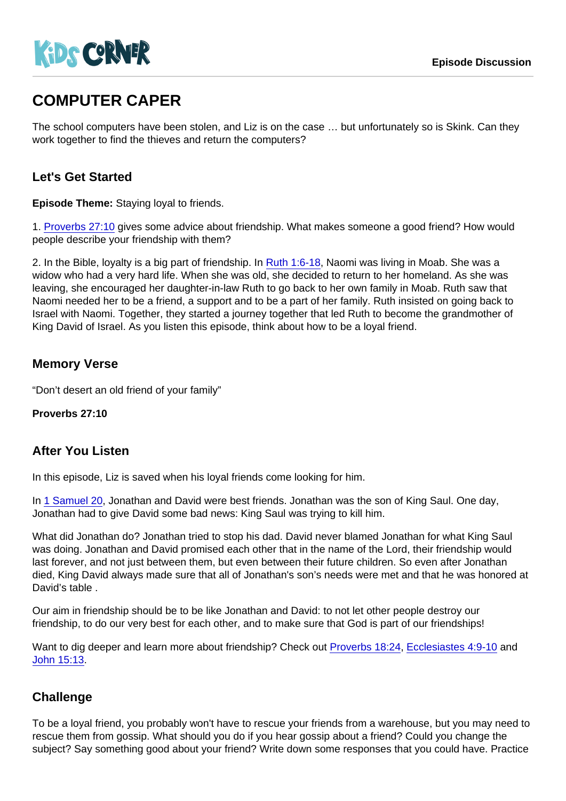# COMPUTER CAPER

The school computers have been stolen, and Liz is on the case … but unfortunately so is Skink. Can they work together to find the thieves and return the computers?

## Let's Get Started

Episode Theme: Staying loyal to friends.

1. [Proverbs 27:10](https://www.biblegateway.com/passage/?search=Proverbs+27:10) gives some advice about friendship. What makes someone a good friend? How would people describe your friendship with them?

2. In the Bible, loyalty is a big part of friendship. In [Ruth 1:6-18](https://www.biblegateway.com/passage/?search=Ruth+1:6-18), Naomi was living in Moab. She was a widow who had a very hard life. When she was old, she decided to return to her homeland. As she was leaving, she encouraged her daughter-in-law Ruth to go back to her own family in Moab. Ruth saw that Naomi needed her to be a friend, a support and to be a part of her family. Ruth insisted on going back to Israel with Naomi. Together, they started a journey together that led Ruth to become the grandmother of King David of Israel. As you listen this episode, think about how to be a loyal friend.

### Memory Verse

"Don't desert an old friend of your family"

Proverbs 27:10

#### After You Listen

In this episode, Liz is saved when his loyal friends come looking for him.

In [1 Samuel 20](https://www.biblegateway.com/passage/?search=1+Samuel+20), Jonathan and David were best friends. Jonathan was the son of King Saul. One day, Jonathan had to give David some bad news: King Saul was trying to kill him.

What did Jonathan do? Jonathan tried to stop his dad. David never blamed Jonathan for what King Saul was doing. Jonathan and David promised each other that in the name of the Lord, their friendship would last forever, and not just between them, but even between their future children. So even after Jonathan died, King David always made sure that all of Jonathan's son's needs were met and that he was honored at David's table .

Our aim in friendship should be to be like Jonathan and David: to not let other people destroy our friendship, to do our very best for each other, and to make sure that God is part of our friendships!

Want to dig deeper and learn more about friendship? Check out [Proverbs 18:24,](https://www.biblegateway.com/passage/?search=Proverbs+18:24) [Ecclesiastes 4:9-10](https://www.biblegateway.com/passage/?search=Ecclesiastes+4:9-10) and [John 15:13](https://www.biblegateway.com/passage/?search=John+15:13).

## **Challenge**

To be a loyal friend, you probably won't have to rescue your friends from a warehouse, but you may need to rescue them from gossip. What should you do if you hear gossip about a friend? Could you change the subject? Say something good about your friend? Write down some responses that you could have. Practice